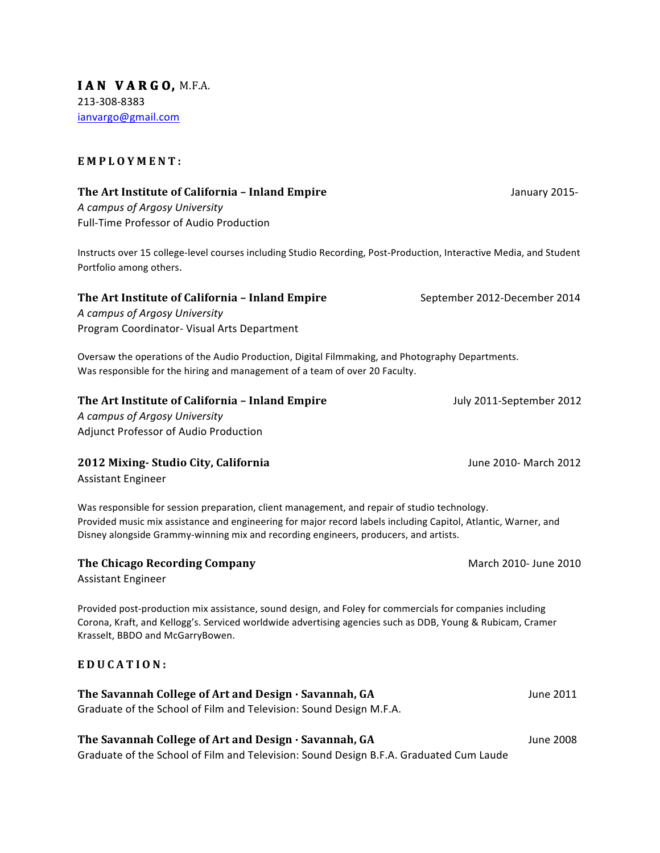**IAN VARG O,** M.F.A. 213-308-8383 ianvargo@gmail.com

#### **EMPLOYMENT:**

### **The Art Institute of California – Inland Empire** January 2015-

*A campus of Argosy University* Full-Time Professor of Audio Production

Instructs over 15 college-level courses including Studio Recording, Post-Production, Interactive Media, and Student Portfolio among others.

#### **The Art Institute of California - Inland Empire** September 2012-December 2014

*A campus of Argosy University* Program Coordinator- Visual Arts Department

Oversaw the operations of the Audio Production, Digital Filmmaking, and Photography Departments. Was responsible for the hiring and management of a team of over 20 Faculty.

#### **The Art Institute of California – Inland Empire** July 2011-September 2012

*A campus of Argosy University* Adjunct Professor of Audio Production

## **2012 Mixing- Studio City, California June 2010- March 2012** June 2010- March 2012

Assistant Engineer

Was responsible for session preparation, client management, and repair of studio technology. Provided music mix assistance and engineering for major record labels including Capitol, Atlantic, Warner, and Disney alongside Grammy-winning mix and recording engineers, producers, and artists.

## **The Chicago Recording Company March 2010- June 2010** March 2010- June 2010

Assistant Engineer

Provided post-production mix assistance, sound design, and Foley for commercials for companies including Corona, Kraft, and Kellogg's. Serviced worldwide advertising agencies such as DDB, Young & Rubicam, Cramer Krasselt, BBDO and McGarryBowen.

## **EDUCATION:**

| The Savannah College of Art and Design · Savannah, GA              | June 2011 |
|--------------------------------------------------------------------|-----------|
| Graduate of the School of Film and Television: Sound Design M.F.A. |           |

# The Savannah College of Art and Design · Savannah, GA June 2008

Graduate of the School of Film and Television: Sound Design B.F.A. Graduated Cum Laude